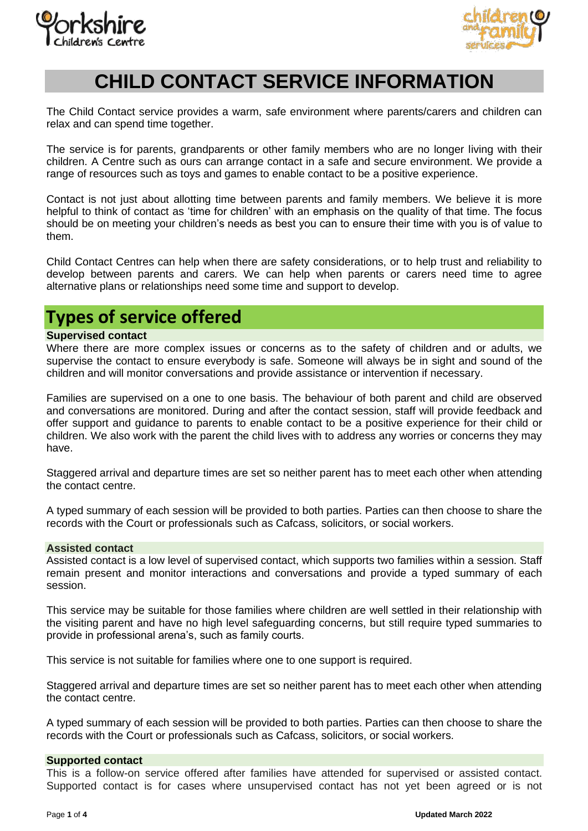



# **CHILD CONTACT SERVICE INFORMATION**

The Child Contact service provides a warm, safe environment where parents/carers and children can relax and can spend time together.

The service is for parents, grandparents or other family members who are no longer living with their children. A Centre such as ours can arrange contact in a safe and secure environment. We provide a range of resources such as toys and games to enable contact to be a positive experience.

Contact is not just about allotting time between parents and family members. We believe it is more helpful to think of contact as 'time for children' with an emphasis on the quality of that time. The focus should be on meeting your children's needs as best you can to ensure their time with you is of value to them.

Child Contact Centres can help when there are safety considerations, or to help trust and reliability to develop between parents and carers. We can help when parents or carers need time to agree alternative plans or relationships need some time and support to develop.

# **Types of service offered**

# **Supervised contact**

Where there are more complex issues or concerns as to the safety of children and or adults, we supervise the contact to ensure everybody is safe. Someone will always be in sight and sound of the children and will monitor conversations and provide assistance or intervention if necessary.

Families are supervised on a one to one basis. The behaviour of both parent and child are observed and conversations are monitored. During and after the contact session, staff will provide feedback and offer support and guidance to parents to enable contact to be a positive experience for their child or children. We also work with the parent the child lives with to address any worries or concerns they may have.

Staggered arrival and departure times are set so neither parent has to meet each other when attending the contact centre.

A typed summary of each session will be provided to both parties. Parties can then choose to share the records with the Court or professionals such as Cafcass, solicitors, or social workers.

#### **Assisted contact**

Assisted contact is a low level of supervised contact, which supports two families within a session. Staff remain present and monitor interactions and conversations and provide a typed summary of each session.

This service may be suitable for those families where children are well settled in their relationship with the visiting parent and have no high level safeguarding concerns, but still require typed summaries to provide in professional arena's, such as family courts.

This service is not suitable for families where one to one support is required.

Staggered arrival and departure times are set so neither parent has to meet each other when attending the contact centre.

A typed summary of each session will be provided to both parties. Parties can then choose to share the records with the Court or professionals such as Cafcass, solicitors, or social workers.

#### **Supported contact**

This is a follow-on service offered after families have attended for supervised or assisted contact. Supported contact is for cases where unsupervised contact has not yet been agreed or is not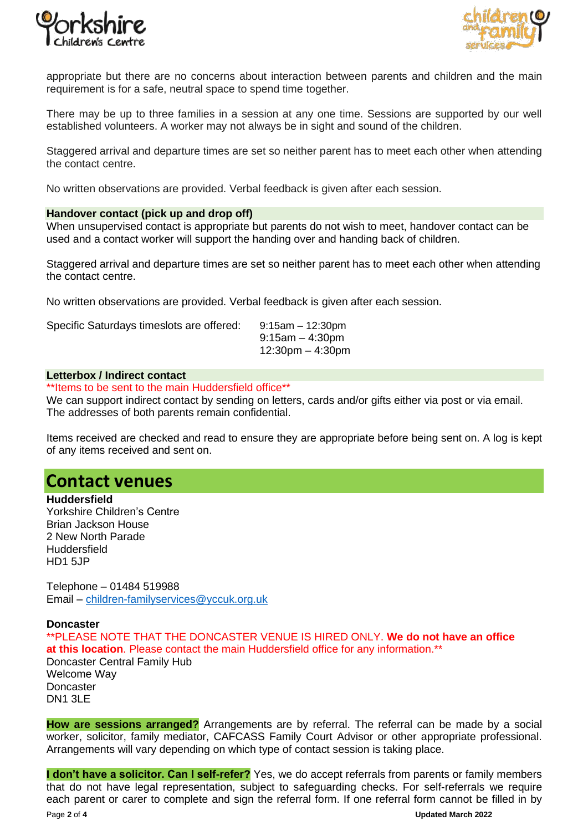



appropriate but there are no concerns about interaction between parents and children and the main requirement is for a safe, neutral space to spend time together.

There may be up to three families in a session at any one time. Sessions are supported by our well established volunteers. A worker may not always be in sight and sound of the children.

Staggered arrival and departure times are set so neither parent has to meet each other when attending the contact centre.

No written observations are provided. Verbal feedback is given after each session.

# **Handover contact (pick up and drop off)**

When unsupervised contact is appropriate but parents do not wish to meet, handover contact can be used and a contact worker will support the handing over and handing back of children.

Staggered arrival and departure times are set so neither parent has to meet each other when attending the contact centre.

No written observations are provided. Verbal feedback is given after each session.

Specific Saturdays timeslots are offered: 9:15am – 12:30pm

9:15am – 4:30pm 12:30pm – 4:30pm

# **Letterbox / Indirect contact**

\*\*Items to be sent to the main Huddersfield office\*\*

We can support indirect contact by sending on letters, cards and/or gifts either via post or via email. The addresses of both parents remain confidential.

Items received are checked and read to ensure they are appropriate before being sent on. A log is kept of any items received and sent on.

# **Contact venues**

**Huddersfield** Yorkshire Children's Centre Brian Jackson House 2 New North Parade Huddersfield HD1 5JP

Telephone – 01484 519988 Email – [children-familyservices@yccuk.org.uk](mailto:children-familyservices@yccuk.org.uk)

# **Doncaster**

\*\*PLEASE NOTE THAT THE DONCASTER VENUE IS HIRED ONLY. **We do not have an office at this location**. Please contact the main Huddersfield office for any information.\*\* Doncaster Central Family Hub Welcome Way **Doncaster** DN1 3LE

**How are sessions arranged?** Arrangements are by referral. The referral can be made by a social worker, solicitor, family mediator, CAFCASS Family Court Advisor or other appropriate professional. Arrangements will vary depending on which type of contact session is taking place.

**I don't have a solicitor. Can I self-refer?** Yes, we do accept referrals from parents or family members that do not have legal representation, subject to safeguarding checks. For self-referrals we require each parent or carer to complete and sign the referral form. If one referral form cannot be filled in by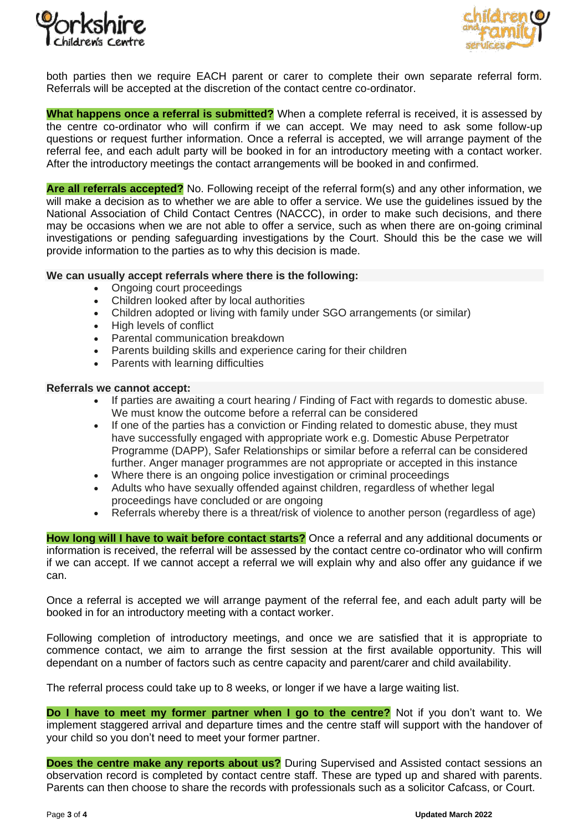



both parties then we require EACH parent or carer to complete their own separate referral form. Referrals will be accepted at the discretion of the contact centre co-ordinator.

**What happens once a referral is submitted?** When a complete referral is received, it is assessed by the centre co-ordinator who will confirm if we can accept. We may need to ask some follow-up questions or request further information. Once a referral is accepted, we will arrange payment of the referral fee, and each adult party will be booked in for an introductory meeting with a contact worker. After the introductory meetings the contact arrangements will be booked in and confirmed.

**Are all referrals accepted?** No. Following receipt of the referral form(s) and any other information, we will make a decision as to whether we are able to offer a service. We use the guidelines issued by the National Association of Child Contact Centres (NACCC), in order to make such decisions, and there may be occasions when we are not able to offer a service, such as when there are on-going criminal investigations or pending safeguarding investigations by the Court. Should this be the case we will provide information to the parties as to why this decision is made.

# **We can usually accept referrals where there is the following:**

- Ongoing court proceedings
- Children looked after by local authorities
- Children adopted or living with family under SGO arrangements (or similar)
- High levels of conflict
- Parental communication breakdown
- Parents building skills and experience caring for their children
- Parents with learning difficulties

# **Referrals we cannot accept:**

- If parties are awaiting a court hearing / Finding of Fact with regards to domestic abuse. We must know the outcome before a referral can be considered
- If one of the parties has a conviction or Finding related to domestic abuse, they must have successfully engaged with appropriate work e.g. Domestic Abuse Perpetrator Programme (DAPP), Safer Relationships or similar before a referral can be considered further. Anger manager programmes are not appropriate or accepted in this instance
- Where there is an ongoing police investigation or criminal proceedings
- Adults who have sexually offended against children, regardless of whether legal proceedings have concluded or are ongoing
- Referrals whereby there is a threat/risk of violence to another person (regardless of age)

**How long will I have to wait before contact starts?** Once a referral and any additional documents or information is received, the referral will be assessed by the contact centre co-ordinator who will confirm if we can accept. If we cannot accept a referral we will explain why and also offer any guidance if we can.

Once a referral is accepted we will arrange payment of the referral fee, and each adult party will be booked in for an introductory meeting with a contact worker.

Following completion of introductory meetings, and once we are satisfied that it is appropriate to commence contact, we aim to arrange the first session at the first available opportunity. This will dependant on a number of factors such as centre capacity and parent/carer and child availability.

The referral process could take up to 8 weeks, or longer if we have a large waiting list.

**Do I have to meet my former partner when I go to the centre?** Not if you don't want to. We implement staggered arrival and departure times and the centre staff will support with the handover of your child so you don't need to meet your former partner.

**Does the centre make any reports about us?** During Supervised and Assisted contact sessions an observation record is completed by contact centre staff. These are typed up and shared with parents. Parents can then choose to share the records with professionals such as a solicitor Cafcass, or Court.